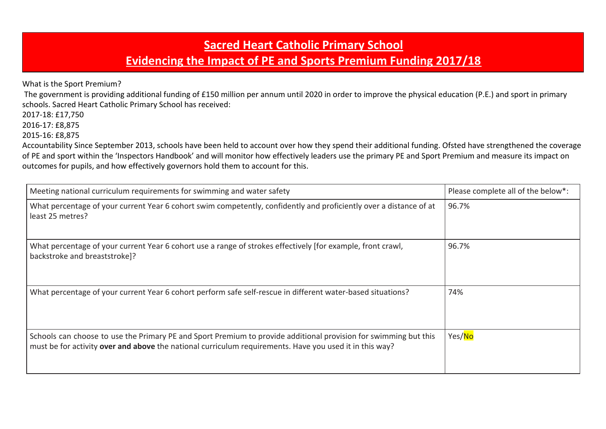## **Sacred Heart Catholic Primary School**

## **Evidencing the Impact of PE and Sports Premium Funding 2017/18**

What is the Sport Premium?

 The government is providing additional funding of £150 million per annum until 2020 in order to improve the physical education (P.E.) and sport in primary schools. Sacred Heart Catholic Primary School has received:

2017-18: £17,750

2016-17: £8,875

2015-16: £8,875

Accountability Since September 2013, schools have been held to account over how they spend their additional funding. Ofsted have strengthened the coverage of PE and sport within the 'Inspectors Handbook' and will monitor how effectively leaders use the primary PE and Sport Premium and measure its impact on outcomes for pupils, and how effectively governors hold them to account for this.

| Meeting national curriculum requirements for swimming and water safety                                                                                                                                                      | Please complete all of the below*: |
|-----------------------------------------------------------------------------------------------------------------------------------------------------------------------------------------------------------------------------|------------------------------------|
| What percentage of your current Year 6 cohort swim competently, confidently and proficiently over a distance of at<br>least 25 metres?                                                                                      | 96.7%                              |
| What percentage of your current Year 6 cohort use a range of strokes effectively [for example, front crawl,<br>backstroke and breaststroke]?                                                                                | 96.7%                              |
| What percentage of your current Year 6 cohort perform safe self-rescue in different water-based situations?                                                                                                                 | 74%                                |
| Schools can choose to use the Primary PE and Sport Premium to provide additional provision for swimming but this<br>must be for activity over and above the national curriculum requirements. Have you used it in this way? | Yes/No                             |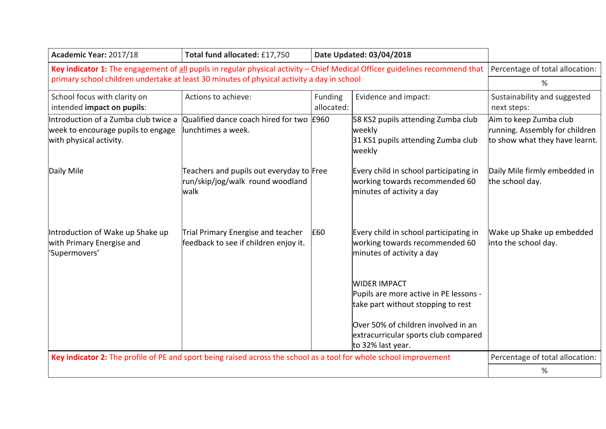| Academic Year: 2017/18                                                                                                       | Total fund allocated: £17,750                                                        |                       | Date Updated: 03/04/2018                                                                                                                                                                         |                                                                                            |
|------------------------------------------------------------------------------------------------------------------------------|--------------------------------------------------------------------------------------|-----------------------|--------------------------------------------------------------------------------------------------------------------------------------------------------------------------------------------------|--------------------------------------------------------------------------------------------|
| Key indicator 1: The engagement of all pupils in regular physical activity - Chief Medical Officer guidelines recommend that |                                                                                      |                       | Percentage of total allocation:                                                                                                                                                                  |                                                                                            |
| primary school children undertake at least 30 minutes of physical activity a day in school                                   |                                                                                      |                       | %                                                                                                                                                                                                |                                                                                            |
| School focus with clarity on<br>intended impact on pupils:                                                                   | Actions to achieve:                                                                  | Funding<br>allocated: | Evidence and impact:                                                                                                                                                                             | Sustainability and suggested<br>next steps:                                                |
| Introduction of a Zumba club twice a<br>week to encourage pupils to engage<br>with physical activity.                        | Qualified dance coach hired for two £960<br>lunchtimes a week.                       |                       | 58 KS2 pupils attending Zumba club<br>weekly<br>31 KS1 pupils attending Zumba club<br>weekly                                                                                                     | Aim to keep Zumba club<br>running. Assembly for children<br>to show what they have learnt. |
| Daily Mile                                                                                                                   | Teachers and pupils out everyday to Free<br>run/skip/jog/walk round woodland<br>walk |                       | Every child in school participating in<br>working towards recommended 60<br>minutes of activity a day                                                                                            | Daily Mile firmly embedded in<br>the school day.                                           |
| Introduction of Wake up Shake up<br>with Primary Energise and<br>'Supermovers'                                               | Trial Primary Energise and teacher<br>feedback to see if children enjoy it.          | £60                   | Every child in school participating in<br>working towards recommended 60<br>minutes of activity a day                                                                                            | Wake up Shake up embedded<br>into the school day.                                          |
|                                                                                                                              |                                                                                      |                       | WIDER IMPACT<br>Pupils are more active in PE lessons -<br>take part without stopping to rest<br>Over 50% of children involved in an<br>extracurricular sports club compared<br>to 32% last year. |                                                                                            |
| Key indicator 2: The profile of PE and sport being raised across the school as a tool for whole school improvement           |                                                                                      |                       |                                                                                                                                                                                                  | Percentage of total allocation:                                                            |
|                                                                                                                              |                                                                                      |                       |                                                                                                                                                                                                  | %                                                                                          |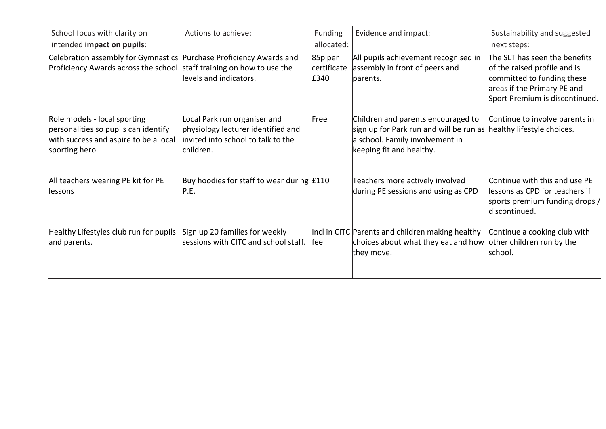| School focus with clarity on                                                                                                                  | Actions to achieve:                                                                                                   | <b>Funding</b>                 | Evidence and impact:                                                                                                                                                    | Sustainability and suggested                                                                                                                                 |
|-----------------------------------------------------------------------------------------------------------------------------------------------|-----------------------------------------------------------------------------------------------------------------------|--------------------------------|-------------------------------------------------------------------------------------------------------------------------------------------------------------------------|--------------------------------------------------------------------------------------------------------------------------------------------------------------|
| intended impact on pupils:                                                                                                                    |                                                                                                                       | allocated:                     |                                                                                                                                                                         | next steps:                                                                                                                                                  |
| Celebration assembly for Gymnastics Purchase Proficiency Awards and<br>Proficiency Awards across the school. staff training on how to use the | levels and indicators.                                                                                                | 85p per<br>certificate<br>£340 | All pupils achievement recognised in<br>assembly in front of peers and<br>parents.                                                                                      | The SLT has seen the benefits<br>of the raised profile and is<br>committed to funding these<br>areas if the Primary PE and<br>Sport Premium is discontinued. |
| Role models - local sporting<br>personalities so pupils can identify<br>with success and aspire to be a local<br>sporting hero.               | Local Park run organiser and<br>physiology lecturer identified and<br>invited into school to talk to the<br>children. | Free                           | Children and parents encouraged to<br>sign up for Park run and will be run as healthy lifestyle choices.<br>a school. Family involvement in<br>keeping fit and healthy. | Continue to involve parents in                                                                                                                               |
| All teachers wearing PE kit for PE<br>llessons                                                                                                | Buy hoodies for staff to wear during $f110$<br> P.E.                                                                  |                                | Teachers more actively involved<br>during PE sessions and using as CPD                                                                                                  | Continue with this and use PE<br>lessons as CPD for teachers if<br>sports premium funding drops /<br>discontinued.                                           |
| Healthy Lifestyles club run for pupils<br>and parents.                                                                                        | Sign up 20 families for weekly<br>sessions with CITC and school staff.                                                | <b>fee</b>                     | Incl in CITC Parents and children making healthy<br>choices about what they eat and how other children run by the<br>they move.                                         | Continue a cooking club with<br>school.                                                                                                                      |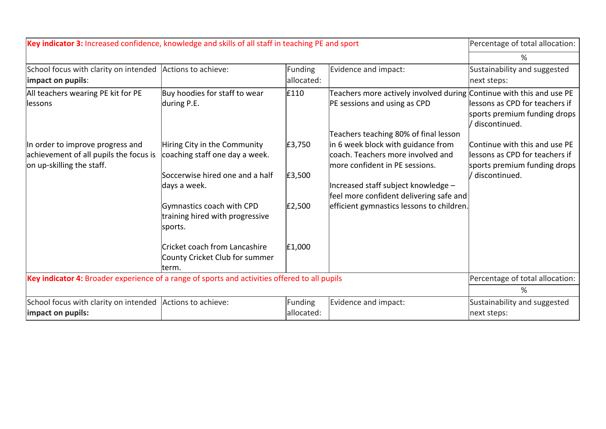| Key indicator 3: Increased confidence, knowledge and skills of all staff in teaching PE and sport |                                      |            | Percentage of total allocation:                                             |                                 |
|---------------------------------------------------------------------------------------------------|--------------------------------------|------------|-----------------------------------------------------------------------------|---------------------------------|
|                                                                                                   |                                      |            |                                                                             | ℅                               |
| School focus with clarity on intended                                                             | Actions to achieve:                  | Funding    | Evidence and impact:                                                        | Sustainability and suggested    |
| impact on pupils:                                                                                 |                                      | allocated: |                                                                             | next steps:                     |
| All teachers wearing PE kit for PE                                                                | Buy hoodies for staff to wear        | £110       | Teachers more actively involved during Continue with this and use PE        |                                 |
| llessons                                                                                          | during P.E.                          |            | PE sessions and using as CPD                                                | lessons as CPD for teachers if  |
|                                                                                                   |                                      |            |                                                                             | sports premium funding drops    |
|                                                                                                   |                                      |            |                                                                             | ' discontinued.                 |
| In order to improve progress and                                                                  | Hiring City in the Community         | E3,750     | Teachers teaching 80% of final lesson<br>in 6 week block with guidance from | Continue with this and use PE   |
| achievement of all pupils the focus is                                                            | coaching staff one day a week.       |            | coach. Teachers more involved and                                           | llessons as CPD for teachers if |
| on up-skilling the staff.                                                                         |                                      |            | more confident in PE sessions.                                              | sports premium funding drops    |
|                                                                                                   | Soccerwise hired one and a half      | £3,500     |                                                                             | / discontinued.                 |
|                                                                                                   | days a week.                         |            | Increased staff subject knowledge -                                         |                                 |
|                                                                                                   |                                      |            | feel more confident delivering safe and                                     |                                 |
|                                                                                                   | Gymnastics coach with CPD            | E2,500     | efficient gymnastics lessons to children.                                   |                                 |
|                                                                                                   | training hired with progressive      |            |                                                                             |                                 |
|                                                                                                   | sports.                              |            |                                                                             |                                 |
|                                                                                                   | <b>Cricket coach from Lancashire</b> | E1,000     |                                                                             |                                 |
|                                                                                                   | County Cricket Club for summer       |            |                                                                             |                                 |
|                                                                                                   | lterm.                               |            |                                                                             |                                 |
| Key indicator 4: Broader experience of a range of sports and activities offered to all pupils     |                                      |            | Percentage of total allocation:                                             |                                 |
|                                                                                                   |                                      |            |                                                                             | ℅                               |
| School focus with clarity on intended Actions to achieve:                                         |                                      | Funding    | Evidence and impact:                                                        | Sustainability and suggested    |
| impact on pupils:                                                                                 |                                      | allocated: |                                                                             | next steps:                     |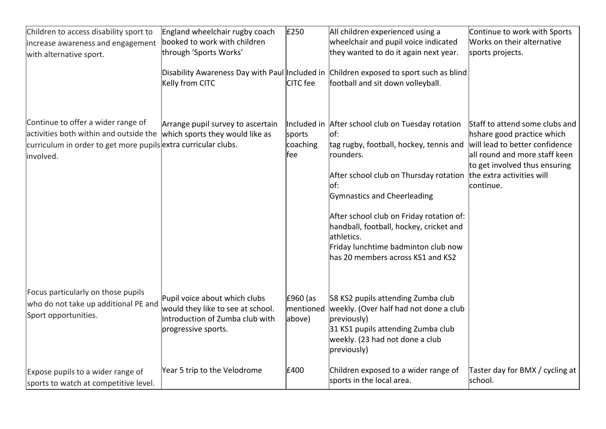| Children to access disability sport to                                                                                                                      | England wheelchair rugby coach                                                                                               | £250                            | All children experienced using a                                                                                                                                                                                                                                                                                                                                                            | Continue to work with Sports                                                                                                                                                                               |
|-------------------------------------------------------------------------------------------------------------------------------------------------------------|------------------------------------------------------------------------------------------------------------------------------|---------------------------------|---------------------------------------------------------------------------------------------------------------------------------------------------------------------------------------------------------------------------------------------------------------------------------------------------------------------------------------------------------------------------------------------|------------------------------------------------------------------------------------------------------------------------------------------------------------------------------------------------------------|
| increase awareness and engagement                                                                                                                           | booked to work with children                                                                                                 |                                 | wheelchair and pupil voice indicated                                                                                                                                                                                                                                                                                                                                                        | Works on their alternative                                                                                                                                                                                 |
| with alternative sport.                                                                                                                                     | through 'Sports Works'                                                                                                       |                                 | they wanted to do it again next year.                                                                                                                                                                                                                                                                                                                                                       | sports projects.                                                                                                                                                                                           |
|                                                                                                                                                             | Kelly from CITC                                                                                                              | CITC fee                        | Disability Awareness Day with Paul Included in Children exposed to sport such as blind<br>football and sit down volleyball.                                                                                                                                                                                                                                                                 |                                                                                                                                                                                                            |
| Continue to offer a wider range of<br>activities both within and outside the<br>curriculum in order to get more pupils extra curricular clubs.<br>involved. | Arrange pupil survey to ascertain<br>which sports they would like as                                                         | sports<br>coaching<br>fee       | Included in After school club on Tuesday rotation<br>$\mathsf{I}$<br>tag rugby, football, hockey, tennis and<br>rounders.<br>After school club on Thursday rotation<br> of:<br>Gymnastics and Cheerleading<br>After school club on Friday rotation of:<br>handball, football, hockey, cricket and<br>athletics.<br>Friday lunchtime badminton club now<br>has 20 members across KS1 and KS2 | Staff to attend some clubs and<br>hshare good practice which<br>will lead to better confidence<br>all round and more staff keen<br>to get involved thus ensuring<br>the extra activities will<br>continue. |
| Focus particularly on those pupils<br>who do not take up additional PE and<br>Sport opportunities.                                                          | Pupil voice about which clubs<br>would they like to see at school.<br>Introduction of Zumba club with<br>progressive sports. | £960 (as<br>mentioned<br>above) | 58 KS2 pupils attending Zumba club<br>weekly. (Over half had not done a club<br>previously)<br>31 KS1 pupils attending Zumba club<br>weekly. (23 had not done a club<br>previously)                                                                                                                                                                                                         |                                                                                                                                                                                                            |
| Expose pupils to a wider range of<br>sports to watch at competitive level.                                                                                  | Year 5 trip to the Velodrome                                                                                                 | £400                            | Children exposed to a wider range of<br>sports in the local area.                                                                                                                                                                                                                                                                                                                           | Taster day for BMX / cycling at<br>school.                                                                                                                                                                 |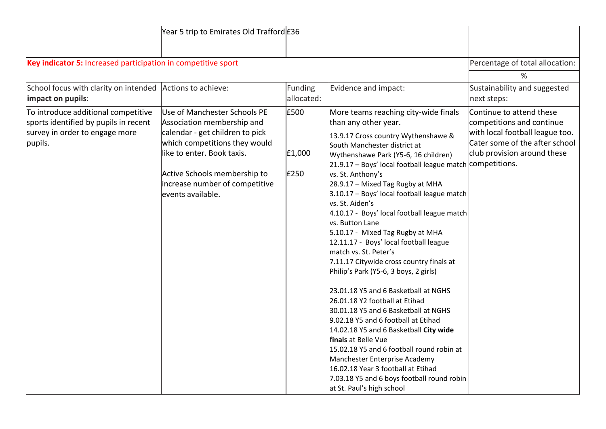|                                                                                                                           | Year 5 trip to Emirates Old Trafford £36                                                                                                                                                                                                            |                        |                                                                                                                                                                                                                                                                                                                                                                                                                                                                                                                                                                                                                                                                                                                                                                                                                                                                                                                                                                                                                                                                    |                                                                                                                                                           |
|---------------------------------------------------------------------------------------------------------------------------|-----------------------------------------------------------------------------------------------------------------------------------------------------------------------------------------------------------------------------------------------------|------------------------|--------------------------------------------------------------------------------------------------------------------------------------------------------------------------------------------------------------------------------------------------------------------------------------------------------------------------------------------------------------------------------------------------------------------------------------------------------------------------------------------------------------------------------------------------------------------------------------------------------------------------------------------------------------------------------------------------------------------------------------------------------------------------------------------------------------------------------------------------------------------------------------------------------------------------------------------------------------------------------------------------------------------------------------------------------------------|-----------------------------------------------------------------------------------------------------------------------------------------------------------|
| Key indicator 5: Increased participation in competitive sport                                                             |                                                                                                                                                                                                                                                     |                        |                                                                                                                                                                                                                                                                                                                                                                                                                                                                                                                                                                                                                                                                                                                                                                                                                                                                                                                                                                                                                                                                    | Percentage of total allocation:                                                                                                                           |
|                                                                                                                           |                                                                                                                                                                                                                                                     |                        |                                                                                                                                                                                                                                                                                                                                                                                                                                                                                                                                                                                                                                                                                                                                                                                                                                                                                                                                                                                                                                                                    | %                                                                                                                                                         |
| School focus with clarity on intended<br>impact on pupils:                                                                | Actions to achieve:                                                                                                                                                                                                                                 | Funding<br>allocated:  | Evidence and impact:                                                                                                                                                                                                                                                                                                                                                                                                                                                                                                                                                                                                                                                                                                                                                                                                                                                                                                                                                                                                                                               | Sustainability and suggested<br>next steps:                                                                                                               |
| To introduce additional competitive<br>sports identified by pupils in recent<br>survey in order to engage more<br>pupils. | Use of Manchester Schools PE<br>Association membership and<br>calendar - get children to pick<br>which competitions they would<br>like to enter. Book taxis.<br>Active Schools membership to<br>increase number of competitive<br>events available. | £500<br>E1,000<br>£250 | More teams reaching city-wide finals<br>than any other year.<br>13.9.17 Cross country Wythenshawe &<br>South Manchester district at<br>Wythenshawe Park (Y5-6, 16 children)<br>21.9.17 - Boys' local football league match <i>competitions</i> .<br>vs. St. Anthony's<br>28.9.17 - Mixed Tag Rugby at MHA<br>3.10.17 - Boys' local football league match<br>vs. St. Aiden's<br>4.10.17 - Boys' local football league match<br>vs. Button Lane<br>5.10.17 - Mixed Tag Rugby at MHA<br>12.11.17 - Boys' local football league<br>match vs. St. Peter's<br>7.11.17 Citywide cross country finals at<br>Philip's Park (Y5-6, 3 boys, 2 girls)<br>23.01.18 Y5 and 6 Basketball at NGHS<br>26.01.18 Y2 football at Etihad<br>30.01.18 Y5 and 6 Basketball at NGHS<br>9.02.18 Y5 and 6 football at Etihad<br>14.02.18 Y5 and 6 Basketball City wide<br>finals at Belle Vue<br>15.02.18 Y5 and 6 football round robin at<br>Manchester Enterprise Academy<br>16.02.18 Year 3 football at Etihad<br>7.03.18 Y5 and 6 boys football round robin<br>at St. Paul's high school | Continue to attend these<br>competitions and continue<br>with local football league too.<br>Cater some of the after school<br>club provision around these |